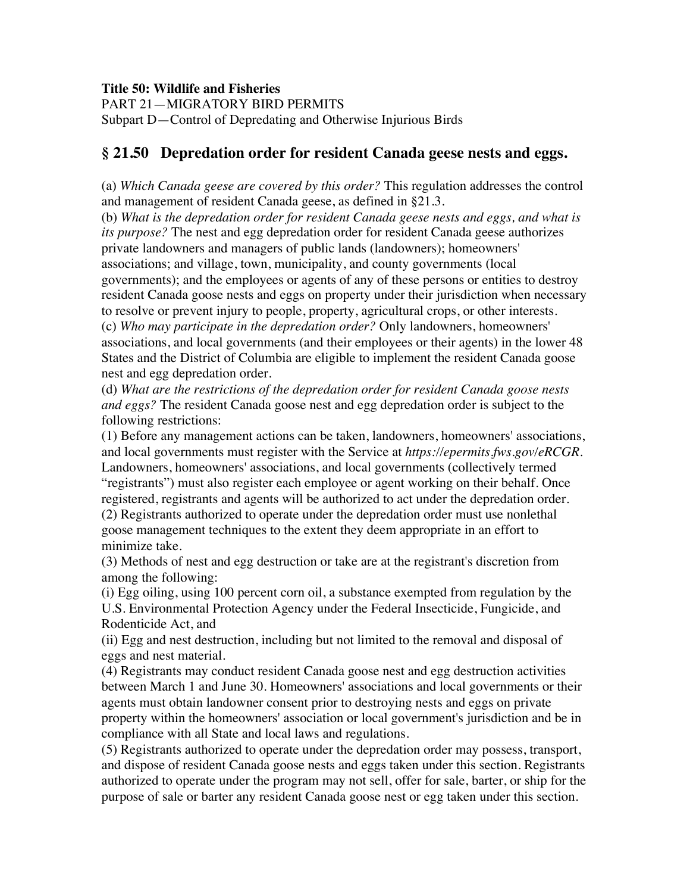## **Title 50: Wildlife and Fisheries**

PART 21—MIGRATORY BIRD PERMITS

Subpart D—Control of Depredating and Otherwise Injurious Birds

## **§ 21.50 Depredation order for resident Canada geese nests and eggs.**

(a) *Which Canada geese are covered by this order?* This regulation addresses the control and management of resident Canada geese, as defined in §21.3.

(b) *What is the depredation order for resident Canada geese nests and eggs, and what is its purpose?* The nest and egg depredation order for resident Canada geese authorizes private landowners and managers of public lands (landowners); homeowners' associations; and village, town, municipality, and county governments (local governments); and the employees or agents of any of these persons or entities to destroy resident Canada goose nests and eggs on property under their jurisdiction when necessary to resolve or prevent injury to people, property, agricultural crops, or other interests. (c) *Who may participate in the depredation order?* Only landowners, homeowners' associations, and local governments (and their employees or their agents) in the lower 48 States and the District of Columbia are eligible to implement the resident Canada goose nest and egg depredation order.

(d) *What are the restrictions of the depredation order for resident Canada goose nests and eggs?* The resident Canada goose nest and egg depredation order is subject to the following restrictions:

(1) Before any management actions can be taken, landowners, homeowners' associations, and local governments must register with the Service at *https://epermits.fws.gov/eRCGR.*  Landowners, homeowners' associations, and local governments (collectively termed "registrants") must also register each employee or agent working on their behalf. Once registered, registrants and agents will be authorized to act under the depredation order. (2) Registrants authorized to operate under the depredation order must use nonlethal goose management techniques to the extent they deem appropriate in an effort to minimize take.

(3) Methods of nest and egg destruction or take are at the registrant's discretion from among the following:

(i) Egg oiling, using 100 percent corn oil, a substance exempted from regulation by the U.S. Environmental Protection Agency under the Federal Insecticide, Fungicide, and Rodenticide Act, and

(ii) Egg and nest destruction, including but not limited to the removal and disposal of eggs and nest material.

(4) Registrants may conduct resident Canada goose nest and egg destruction activities between March 1 and June 30. Homeowners' associations and local governments or their agents must obtain landowner consent prior to destroying nests and eggs on private property within the homeowners' association or local government's jurisdiction and be in compliance with all State and local laws and regulations.

(5) Registrants authorized to operate under the depredation order may possess, transport, and dispose of resident Canada goose nests and eggs taken under this section. Registrants authorized to operate under the program may not sell, offer for sale, barter, or ship for the purpose of sale or barter any resident Canada goose nest or egg taken under this section.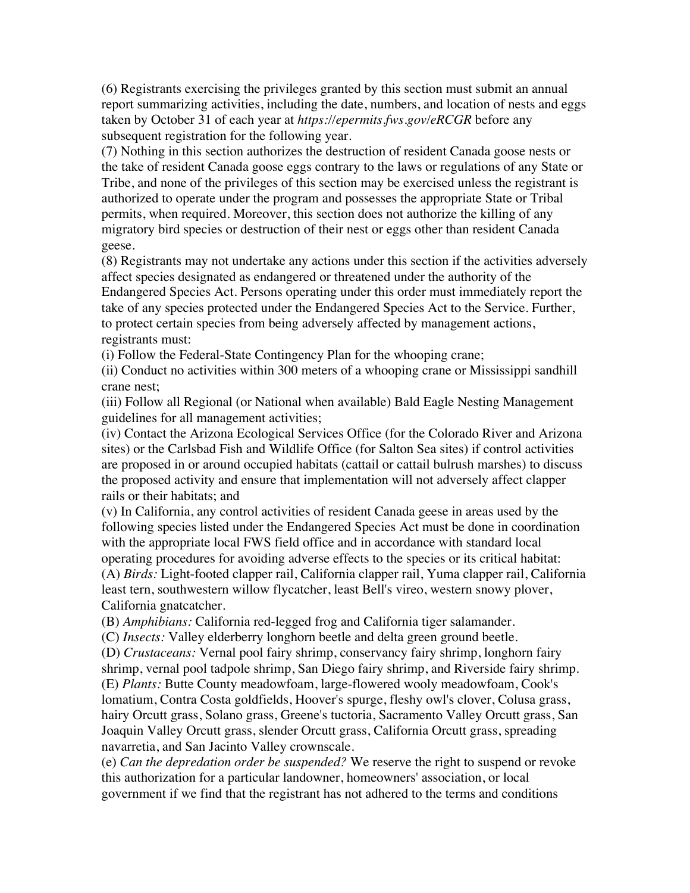(6) Registrants exercising the privileges granted by this section must submit an annual report summarizing activities, including the date, numbers, and location of nests and eggs taken by October 31 of each year at *https://epermits.fws.gov/eRCGR* before any subsequent registration for the following year.

(7) Nothing in this section authorizes the destruction of resident Canada goose nests or the take of resident Canada goose eggs contrary to the laws or regulations of any State or Tribe, and none of the privileges of this section may be exercised unless the registrant is authorized to operate under the program and possesses the appropriate State or Tribal permits, when required. Moreover, this section does not authorize the killing of any migratory bird species or destruction of their nest or eggs other than resident Canada geese.

(8) Registrants may not undertake any actions under this section if the activities adversely affect species designated as endangered or threatened under the authority of the Endangered Species Act. Persons operating under this order must immediately report the take of any species protected under the Endangered Species Act to the Service. Further, to protect certain species from being adversely affected by management actions, registrants must:

(i) Follow the Federal-State Contingency Plan for the whooping crane;

(ii) Conduct no activities within 300 meters of a whooping crane or Mississippi sandhill crane nest;

(iii) Follow all Regional (or National when available) Bald Eagle Nesting Management guidelines for all management activities;

(iv) Contact the Arizona Ecological Services Office (for the Colorado River and Arizona sites) or the Carlsbad Fish and Wildlife Office (for Salton Sea sites) if control activities are proposed in or around occupied habitats (cattail or cattail bulrush marshes) to discuss the proposed activity and ensure that implementation will not adversely affect clapper rails or their habitats; and

(v) In California, any control activities of resident Canada geese in areas used by the following species listed under the Endangered Species Act must be done in coordination with the appropriate local FWS field office and in accordance with standard local operating procedures for avoiding adverse effects to the species or its critical habitat: (A) *Birds:* Light-footed clapper rail, California clapper rail, Yuma clapper rail, California least tern, southwestern willow flycatcher, least Bell's vireo, western snowy plover, California gnatcatcher.

(B) *Amphibians:* California red-legged frog and California tiger salamander.

(C) *Insects:* Valley elderberry longhorn beetle and delta green ground beetle.

(D) *Crustaceans:* Vernal pool fairy shrimp, conservancy fairy shrimp, longhorn fairy shrimp, vernal pool tadpole shrimp, San Diego fairy shrimp, and Riverside fairy shrimp. (E) *Plants:* Butte County meadowfoam, large-flowered wooly meadowfoam, Cook's lomatium, Contra Costa goldfields, Hoover's spurge, fleshy owl's clover, Colusa grass, hairy Orcutt grass, Solano grass, Greene's tuctoria, Sacramento Valley Orcutt grass, San Joaquin Valley Orcutt grass, slender Orcutt grass, California Orcutt grass, spreading navarretia, and San Jacinto Valley crownscale.

(e) *Can the depredation order be suspended?* We reserve the right to suspend or revoke this authorization for a particular landowner, homeowners' association, or local government if we find that the registrant has not adhered to the terms and conditions